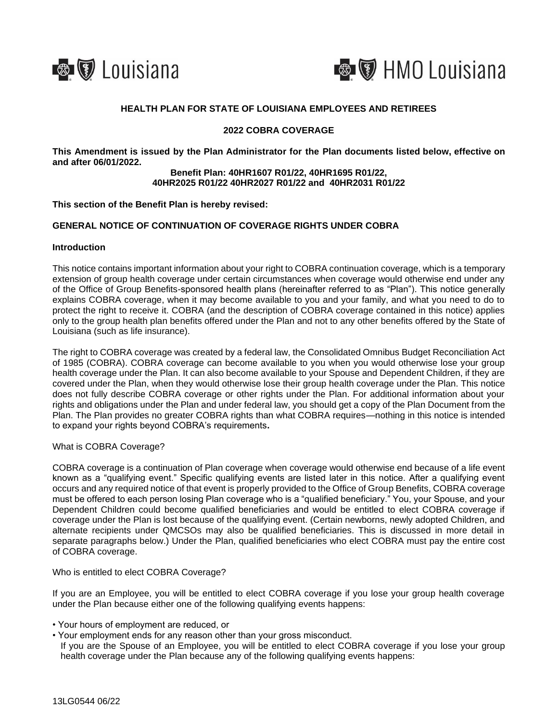



# **HEALTH PLAN FOR STATE OF LOUISIANA EMPLOYEES AND RETIREES**

# **2022 COBRA COVERAGE**

**This Amendment is issued by the Plan Administrator for the Plan documents listed below, effective on and after 06/01/2022.**

### **Benefit Plan: 40HR1607 R01/22, 40HR1695 R01/22, 40HR2025 R01/22 40HR2027 R01/22 and 40HR2031 R01/22**

#### **This section of the Benefit Plan is hereby revised:**

# **GENERAL NOTICE OF CONTINUATION OF COVERAGE RIGHTS UNDER COBRA**

#### **Introduction**

This notice contains important information about your right to COBRA continuation coverage, which is a temporary extension of group health coverage under certain circumstances when coverage would otherwise end under any of the Office of Group Benefits-sponsored health plans (hereinafter referred to as "Plan"). This notice generally explains COBRA coverage, when it may become available to you and your family, and what you need to do to protect the right to receive it. COBRA (and the description of COBRA coverage contained in this notice) applies only to the group health plan benefits offered under the Plan and not to any other benefits offered by the State of Louisiana (such as life insurance).

The right to COBRA coverage was created by a federal law, the Consolidated Omnibus Budget Reconciliation Act of 1985 (COBRA). COBRA coverage can become available to you when you would otherwise lose your group health coverage under the Plan. It can also become available to your Spouse and Dependent Children, if they are covered under the Plan, when they would otherwise lose their group health coverage under the Plan. This notice does not fully describe COBRA coverage or other rights under the Plan. For additional information about your rights and obligations under the Plan and under federal law, you should get a copy of the Plan Document from the Plan. The Plan provides no greater COBRA rights than what COBRA requires—nothing in this notice is intended to expand your rights beyond COBRA's requirements**.**

## What is COBRA Coverage?

COBRA coverage is a continuation of Plan coverage when coverage would otherwise end because of a life event known as a "qualifying event." Specific qualifying events are listed later in this notice. After a qualifying event occurs and any required notice of that event is properly provided to the Office of Group Benefits, COBRA coverage must be offered to each person losing Plan coverage who is a "qualified beneficiary." You, your Spouse, and your Dependent Children could become qualified beneficiaries and would be entitled to elect COBRA coverage if coverage under the Plan is lost because of the qualifying event. (Certain newborns, newly adopted Children, and alternate recipients under QMCSOs may also be qualified beneficiaries. This is discussed in more detail in separate paragraphs below.) Under the Plan, qualified beneficiaries who elect COBRA must pay the entire cost of COBRA coverage.

#### Who is entitled to elect COBRA Coverage?

If you are an Employee, you will be entitled to elect COBRA coverage if you lose your group health coverage under the Plan because either one of the following qualifying events happens:

- Your hours of employment are reduced, or
- Your employment ends for any reason other than your gross misconduct.
- If you are the Spouse of an Employee, you will be entitled to elect COBRA coverage if you lose your group health coverage under the Plan because any of the following qualifying events happens: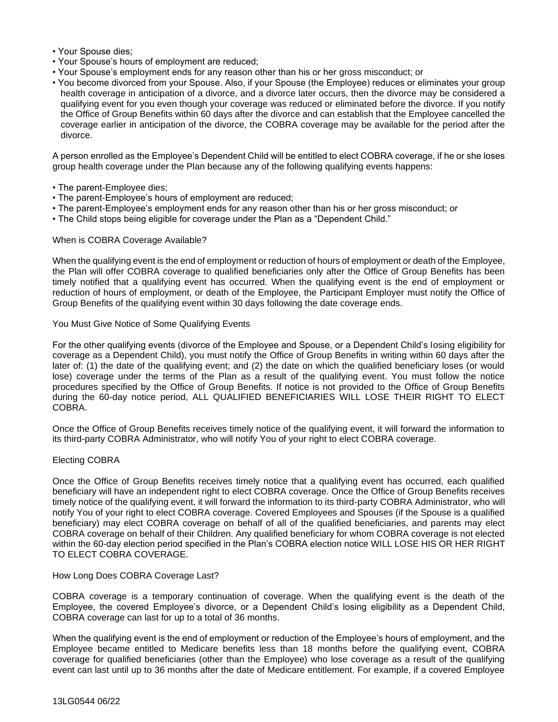- Your Spouse dies;
- Your Spouse's hours of employment are reduced;
- Your Spouse's employment ends for any reason other than his or her gross misconduct; or
- You become divorced from your Spouse. Also, if your Spouse (the Employee) reduces or eliminates your group health coverage in anticipation of a divorce, and a divorce later occurs, then the divorce may be considered a qualifying event for you even though your coverage was reduced or eliminated before the divorce. If you notify the Office of Group Benefits within 60 days after the divorce and can establish that the Employee cancelled the coverage earlier in anticipation of the divorce, the COBRA coverage may be available for the period after the divorce.

A person enrolled as the Employee's Dependent Child will be entitled to elect COBRA coverage, if he or she loses group health coverage under the Plan because any of the following qualifying events happens:

- The parent-Employee dies;
- The parent-Employee's hours of employment are reduced;
- The parent-Employee's employment ends for any reason other than his or her gross misconduct; or
- The Child stops being eligible for coverage under the Plan as a "Dependent Child."

### When is COBRA Coverage Available?

When the qualifying event is the end of employment or reduction of hours of employment or death of the Employee, the Plan will offer COBRA coverage to qualified beneficiaries only after the Office of Group Benefits has been timely notified that a qualifying event has occurred. When the qualifying event is the end of employment or reduction of hours of employment, or death of the Employee, the Participant Employer must notify the Office of Group Benefits of the qualifying event within 30 days following the date coverage ends.

### You Must Give Notice of Some Qualifying Events

For the other qualifying events (divorce of the Employee and Spouse, or a Dependent Child's losing eligibility for coverage as a Dependent Child), you must notify the Office of Group Benefits in writing within 60 days after the later of: (1) the date of the qualifying event; and (2) the date on which the qualified beneficiary loses (or would lose) coverage under the terms of the Plan as a result of the qualifying event. You must follow the notice procedures specified by the Office of Group Benefits. If notice is not provided to the Office of Group Benefits during the 60-day notice period, ALL QUALIFIED BENEFICIARIES WILL LOSE THEIR RIGHT TO ELECT COBRA.

Once the Office of Group Benefits receives timely notice of the qualifying event, it will forward the information to its third-party COBRA Administrator, who will notify You of your right to elect COBRA coverage.

#### Electing COBRA

Once the Office of Group Benefits receives timely notice that a qualifying event has occurred, each qualified beneficiary will have an independent right to elect COBRA coverage. Once the Office of Group Benefits receives timely notice of the qualifying event, it will forward the information to its third-party COBRA Administrator, who will notify You of your right to elect COBRA coverage. Covered Employees and Spouses (if the Spouse is a qualified beneficiary) may elect COBRA coverage on behalf of all of the qualified beneficiaries, and parents may elect COBRA coverage on behalf of their Children. Any qualified beneficiary for whom COBRA coverage is not elected within the 60-day election period specified in the Plan's COBRA election notice WILL LOSE HIS OR HER RIGHT TO ELECT COBRA COVERAGE.

#### How Long Does COBRA Coverage Last?

COBRA coverage is a temporary continuation of coverage. When the qualifying event is the death of the Employee, the covered Employee's divorce, or a Dependent Child's losing eligibility as a Dependent Child, COBRA coverage can last for up to a total of 36 months.

When the qualifying event is the end of employment or reduction of the Employee's hours of employment, and the Employee became entitled to Medicare benefits less than 18 months before the qualifying event, COBRA coverage for qualified beneficiaries (other than the Employee) who lose coverage as a result of the qualifying event can last until up to 36 months after the date of Medicare entitlement. For example, if a covered Employee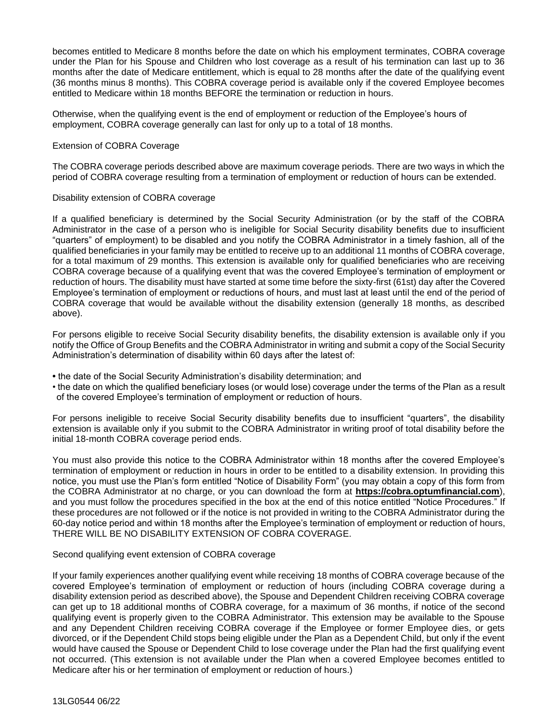becomes entitled to Medicare 8 months before the date on which his employment terminates, COBRA coverage under the Plan for his Spouse and Children who lost coverage as a result of his termination can last up to 36 months after the date of Medicare entitlement, which is equal to 28 months after the date of the qualifying event (36 months minus 8 months). This COBRA coverage period is available only if the covered Employee becomes entitled to Medicare within 18 months BEFORE the termination or reduction in hours.

Otherwise, when the qualifying event is the end of employment or reduction of the Employee's hours of employment, COBRA coverage generally can last for only up to a total of 18 months.

## Extension of COBRA Coverage

The COBRA coverage periods described above are maximum coverage periods. There are two ways in which the period of COBRA coverage resulting from a termination of employment or reduction of hours can be extended.

## Disability extension of COBRA coverage

If a qualified beneficiary is determined by the Social Security Administration (or by the staff of the COBRA Administrator in the case of a person who is ineligible for Social Security disability benefits due to insufficient "quarters" of employment) to be disabled and you notify the COBRA Administrator in a timely fashion, all of the qualified beneficiaries in your family may be entitled to receive up to an additional 11 months of COBRA coverage, for a total maximum of 29 months. This extension is available only for qualified beneficiaries who are receiving COBRA coverage because of a qualifying event that was the covered Employee's termination of employment or reduction of hours. The disability must have started at some time before the sixty-first (61st) day after the Covered Employee's termination of employment or reductions of hours, and must last at least until the end of the period of COBRA coverage that would be available without the disability extension (generally 18 months, as described above).

For persons eligible to receive Social Security disability benefits, the disability extension is available only if you notify the Office of Group Benefits and the COBRA Administrator in writing and submit a copy of the Social Security Administration's determination of disability within 60 days after the latest of:

- the date of the Social Security Administration's disability determination; and
- the date on which the qualified beneficiary loses (or would lose) coverage under the terms of the Plan as a result of the covered Employee's termination of employment or reduction of hours.

For persons ineligible to receive Social Security disability benefits due to insufficient "quarters", the disability extension is available only if you submit to the COBRA Administrator in writing proof of total disability before the initial 18-month COBRA coverage period ends.

You must also provide this notice to the COBRA Administrator within 18 months after the covered Employee's termination of employment or reduction in hours in order to be entitled to a disability extension. In providing this notice, you must use the Plan's form entitled "Notice of Disability Form" (you may obtain a copy of this form from the COBRA Administrator at no charge, or you can download the form at **https://cobra.optumfinancial.com**), and you must follow the procedures specified in the box at the end of this notice entitled "Notice Procedures." If these procedures are not followed or if the notice is not provided in writing to the COBRA Administrator during the 60-day notice period and within 18 months after the Employee's termination of employment or reduction of hours, THERE WILL BE NO DISABILITY EXTENSION OF COBRA COVERAGE.

## Second qualifying event extension of COBRA coverage

If your family experiences another qualifying event while receiving 18 months of COBRA coverage because of the covered Employee's termination of employment or reduction of hours (including COBRA coverage during a disability extension period as described above), the Spouse and Dependent Children receiving COBRA coverage can get up to 18 additional months of COBRA coverage, for a maximum of 36 months, if notice of the second qualifying event is properly given to the COBRA Administrator. This extension may be available to the Spouse and any Dependent Children receiving COBRA coverage if the Employee or former Employee dies, or gets divorced, or if the Dependent Child stops being eligible under the Plan as a Dependent Child, but only if the event would have caused the Spouse or Dependent Child to lose coverage under the Plan had the first qualifying event not occurred. (This extension is not available under the Plan when a covered Employee becomes entitled to Medicare after his or her termination of employment or reduction of hours.)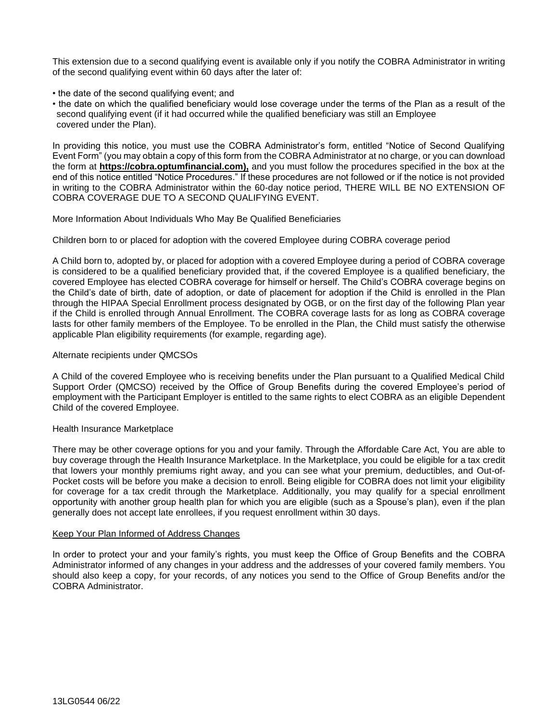This extension due to a second qualifying event is available only if you notify the COBRA Administrator in writing of the second qualifying event within 60 days after the later of:

- the date of the second qualifying event; and
- the date on which the qualified beneficiary would lose coverage under the terms of the Plan as a result of the second qualifying event (if it had occurred while the qualified beneficiary was still an Employee covered under the Plan).

In providing this notice, you must use the COBRA Administrator's form, entitled "Notice of Second Qualifying Event Form" (you may obtain a copy of this form from the COBRA Administrator at no charge, or you can download the form at **https://cobra.optumfinancial.com),** and you must follow the procedures specified in the box at the end of this notice entitled "Notice Procedures." If these procedures are not followed or if the notice is not provided in writing to the COBRA Administrator within the 60-day notice period, THERE WILL BE NO EXTENSION OF COBRA COVERAGE DUE TO A SECOND QUALIFYING EVENT.

More Information About Individuals Who May Be Qualified Beneficiaries

## Children born to or placed for adoption with the covered Employee during COBRA coverage period

A Child born to, adopted by, or placed for adoption with a covered Employee during a period of COBRA coverage is considered to be a qualified beneficiary provided that, if the covered Employee is a qualified beneficiary, the covered Employee has elected COBRA coverage for himself or herself. The Child's COBRA coverage begins on the Child's date of birth, date of adoption, or date of placement for adoption if the Child is enrolled in the Plan through the HIPAA Special Enrollment process designated by OGB, or on the first day of the following Plan year if the Child is enrolled through Annual Enrollment. The COBRA coverage lasts for as long as COBRA coverage lasts for other family members of the Employee. To be enrolled in the Plan, the Child must satisfy the otherwise applicable Plan eligibility requirements (for example, regarding age).

## Alternate recipients under QMCSOs

A Child of the covered Employee who is receiving benefits under the Plan pursuant to a Qualified Medical Child Support Order (QMCSO) received by the Office of Group Benefits during the covered Employee's period of employment with the Participant Employer is entitled to the same rights to elect COBRA as an eligible Dependent Child of the covered Employee.

## Health Insurance Marketplace

There may be other coverage options for you and your family. Through the Affordable Care Act, You are able to buy coverage through the Health Insurance Marketplace. In the Marketplace, you could be eligible for a tax credit that lowers your monthly premiums right away, and you can see what your premium, deductibles, and Out-of-Pocket costs will be before you make a decision to enroll. Being eligible for COBRA does not limit your eligibility for coverage for a tax credit through the Marketplace. Additionally, you may qualify for a special enrollment opportunity with another group health plan for which you are eligible (such as a Spouse's plan), even if the plan generally does not accept late enrollees, if you request enrollment within 30 days.

#### Keep Your Plan Informed of Address Changes

In order to protect your and your family's rights, you must keep the Office of Group Benefits and the COBRA Administrator informed of any changes in your address and the addresses of your covered family members. You should also keep a copy, for your records, of any notices you send to the Office of Group Benefits and/or the COBRA Administrator.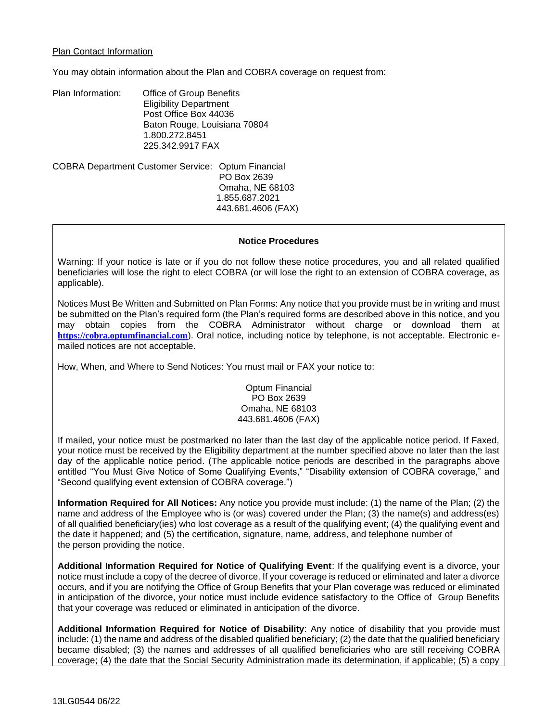## Plan Contact Information

You may obtain information about the Plan and COBRA coverage on request from:

Plan Information: Office of Group Benefits Eligibility Department Post Office Box 44036 Baton Rouge, Louisiana 70804 1.800.272.8451 225.342.9917 FAX

COBRA Department Customer Service: Optum Financial PO Box 2639 Omaha, NE 68103 1.855.687.2021 443.681.4606 (FAX)

#### **Notice Procedures**

Warning: If your notice is late or if you do not follow these notice procedures, you and all related qualified beneficiaries will lose the right to elect COBRA (or will lose the right to an extension of COBRA coverage, as applicable).

Notices Must Be Written and Submitted on Plan Forms: Any notice that you provide must be in writing and must be submitted on the Plan's required form (the Plan's required forms are described above in this notice, and you may obtain copies from the COBRA Administrator without charge or download them at **[https://cobra.optumfinancial.com](https://cobra.optumfinancial.com/)**). Oral notice, including notice by telephone, is not acceptable. Electronic emailed notices are not acceptable.

How, When, and Where to Send Notices: You must mail or FAX your notice to:

Optum Financial PO Box 2639 Omaha, NE 68103 443.681.4606 (FAX)

If mailed, your notice must be postmarked no later than the last day of the applicable notice period. If Faxed, your notice must be received by the Eligibility department at the number specified above no later than the last day of the applicable notice period. (The applicable notice periods are described in the paragraphs above entitled "You Must Give Notice of Some Qualifying Events," "Disability extension of COBRA coverage," and "Second qualifying event extension of COBRA coverage.")

**Information Required for All Notices:** Any notice you provide must include: (1) the name of the Plan; (2) the name and address of the Employee who is (or was) covered under the Plan; (3) the name(s) and address(es) of all qualified beneficiary(ies) who lost coverage as a result of the qualifying event; (4) the qualifying event and the date it happened; and (5) the certification, signature, name, address, and telephone number of the person providing the notice.

**Additional Information Required for Notice of Qualifying Event**: If the qualifying event is a divorce, your notice must include a copy of the decree of divorce. If your coverage is reduced or eliminated and later a divorce occurs, and if you are notifying the Office of Group Benefits that your Plan coverage was reduced or eliminated in anticipation of the divorce, your notice must include evidence satisfactory to the Office of Group Benefits that your coverage was reduced or eliminated in anticipation of the divorce.

**Additional Information Required for Notice of Disability**: Any notice of disability that you provide must include: (1) the name and address of the disabled qualified beneficiary; (2) the date that the qualified beneficiary became disabled; (3) the names and addresses of all qualified beneficiaries who are still receiving COBRA coverage; (4) the date that the Social Security Administration made its determination, if applicable; (5) a copy